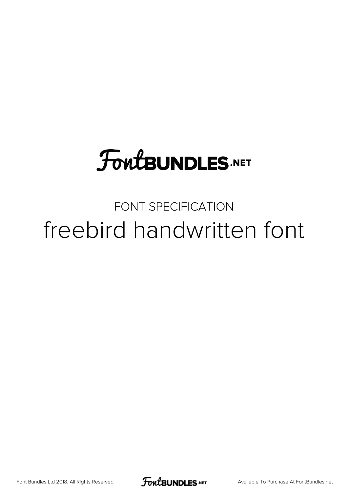# **FoutBUNDLES.NET**

### FONT SPECIFICATION freebird handwritten font

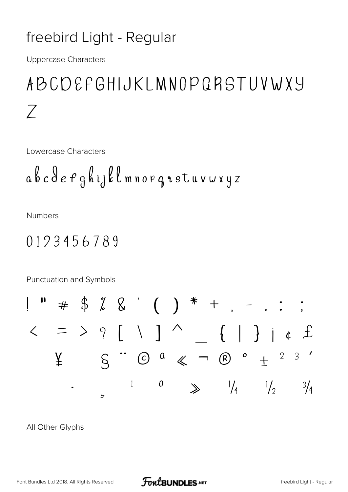#### freebird Light - Regular

**Uppercase Characters** 

## ABCDEFGHIJKLMNOPQRSTUVWXY  $Z$

Lowercase Characters

$$
a\,b\,c\,\theta\,e\,f\,g\,h\,ij\,\ell\,\ell\,m\,n\,o\,p\,q\,\texttt{idx}\,u\,\nu\,\omega\,\texttt{xyz}
$$

**Numbers** 

#### 0123456789

Punctuation and Symbols

$$
\begin{array}{ccccccccccc}\n1 & 1 & & & & & & & & \\
1 & 1 & & & & & & & \\
\downarrow & & & & & & & & \\
\downarrow & & & & & & & & & \\
\downarrow & & & & & & & & & \\
\downarrow & & & & & & & & & & \\
\downarrow & & & & & & & & & & & \\
\downarrow & & & & & & & & & & & & \\
\downarrow & & & & & & & & & & & & & \\
\downarrow & & & & & & & & & & & & & \\
\downarrow & & & & & & & & & & & & & \\
\downarrow & & & & & & & & & & & & & \\
\downarrow & & & & & & & & & & & & & \\
\downarrow & & & & & & & & & & & & \\
\downarrow & & & & & & & & & & & & & \\
\downarrow & & & & & & & & & & & & \\
\downarrow & & & & & & & & & & & & \\
\downarrow & & & & & & & & & & & & \\
\downarrow & & & & & & & & & & & & \\
\downarrow & & & & & & & & & &
$$

All Other Glyphs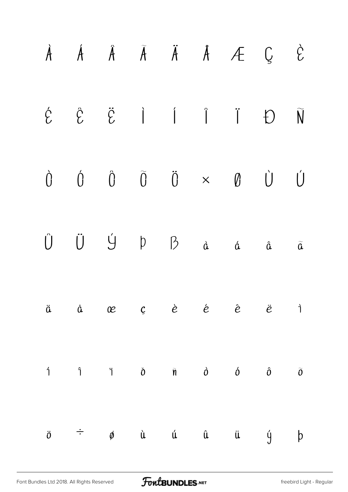|  |  |  | $\dot{A}$ $\dot{A}$ $\ddot{A}$ $\ddot{A}$ $\ddot{A}$ $\dot{A}$ $\dot{C}$ $\dot{C}$                                                      |  |
|--|--|--|-----------------------------------------------------------------------------------------------------------------------------------------|--|
|  |  |  |                                                                                                                                         |  |
|  |  |  | $\begin{array}{ccccccccccccccccc} \hat{0} & \hat{0} & \hat{0} & \hat{0} & \hat{0} & \times & \emptyset & \hat{0} & \hat{0} \end{array}$ |  |
|  |  |  |                                                                                                                                         |  |
|  |  |  | ä å æ ç è é ê ë ì                                                                                                                       |  |
|  |  |  | $\hat{1}$ $\hat{1}$ $\hat{0}$ $\hat{n}$ $\hat{0}$ $\hat{0}$ $\hat{0}$ $\hat{0}$                                                         |  |
|  |  |  | $\ddot{o}$ $\div$ $\phi$ ù ú û ü ý þ                                                                                                    |  |